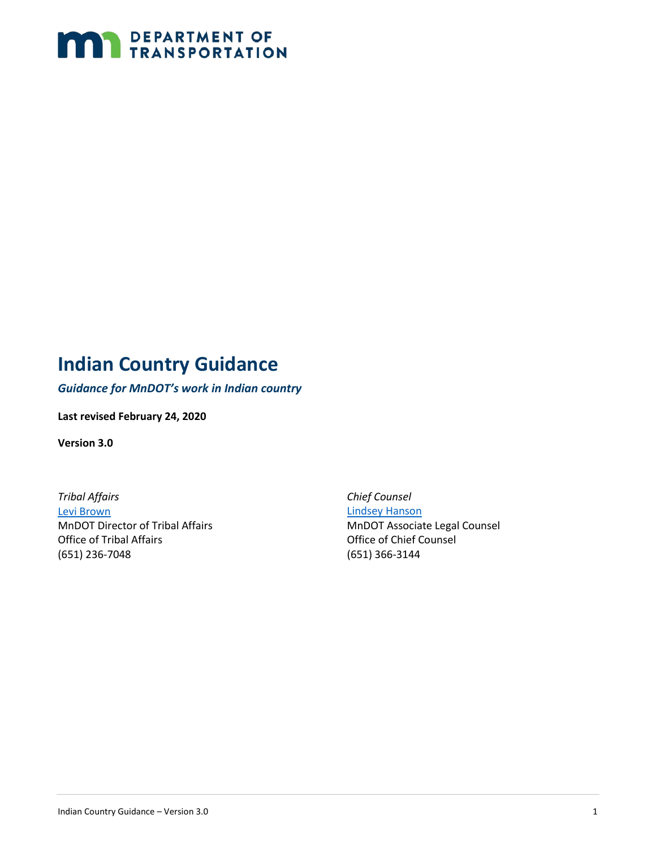

## <span id="page-0-0"></span>**Indian Country Guidance**

*Guidance for MnDOT's work in Indian country*

**Last revised February 24, 2020**

**Version 3.0**

*Tribal Affairs*  [Levi Brown](mailto:levi.brown@state.mn.us) MnDOT Director of Tribal Affairs Office of Tribal Affairs (651) 236-7048

*Chief Counsel* [Lindsey Hanson](mailto:lindsey.k.hanson@gmail.com)

MnDOT Associate Legal Counsel Office of Chief Counsel (651) 366-3144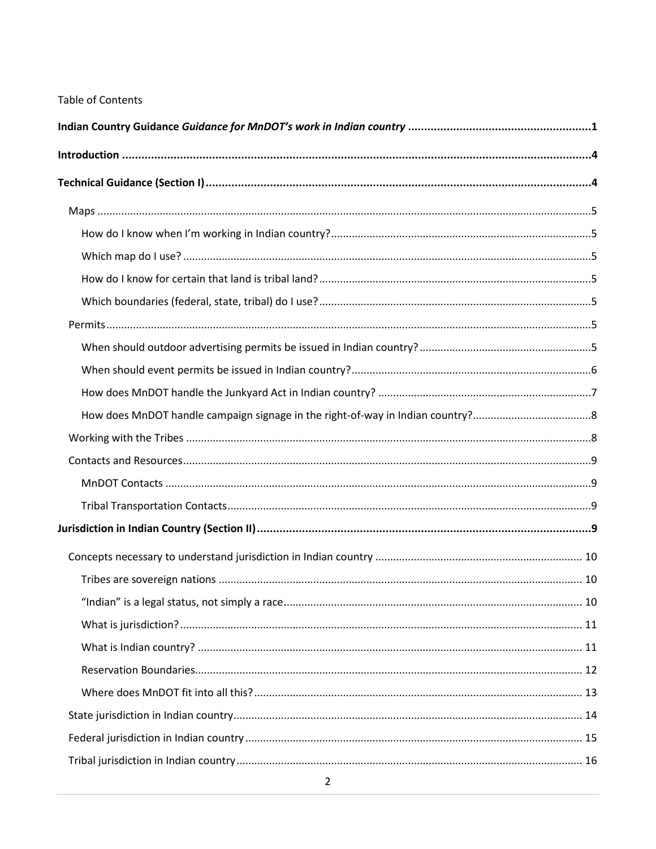#### Table of Contents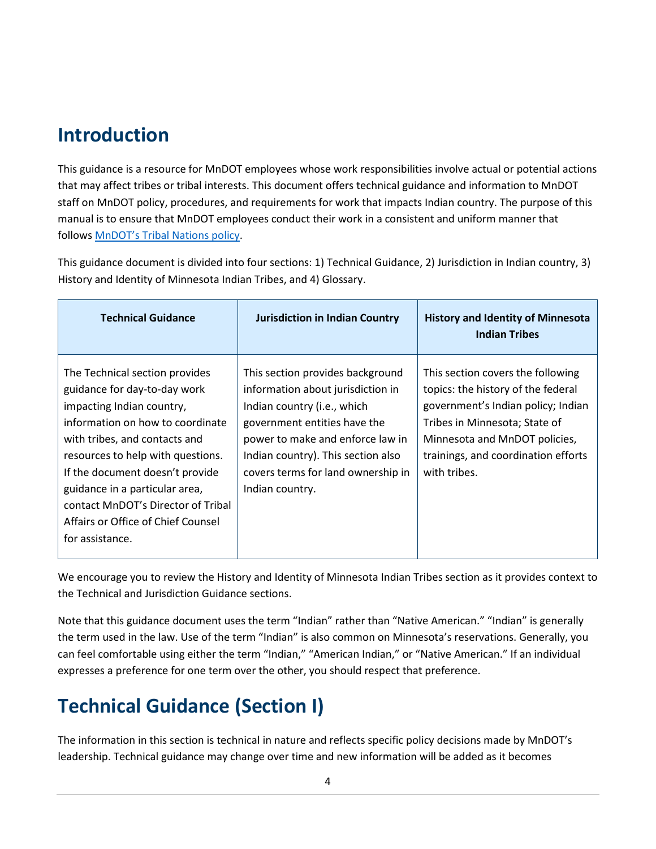## <span id="page-3-0"></span>**Introduction**

This guidance is a resource for MnDOT employees whose work responsibilities involve actual or potential actions that may affect tribes or tribal interests. This document offers technical guidance and information to MnDOT staff on MnDOT policy, procedures, and requirements for work that impacts Indian country. The purpose of this manual is to ensure that MnDOT employees conduct their work in a consistent and uniform manner that follows [MnDOT's Tribal Nations policy.](http://www.dot.state.mn.us/policy/admin/ad005.html)

This guidance document is divided into four sections: 1) Technical Guidance, 2) Jurisdiction in Indian country, 3) History and Identity of Minnesota Indian Tribes, and 4) Glossary.

| <b>Technical Guidance</b>                                                                                                                                                                                                                                                                                                                                                 | <b>Jurisdiction in Indian Country</b>                                                                                                                                                                                                                                   | <b>History and Identity of Minnesota</b><br><b>Indian Tribes</b>                                                                                                                                                                       |
|---------------------------------------------------------------------------------------------------------------------------------------------------------------------------------------------------------------------------------------------------------------------------------------------------------------------------------------------------------------------------|-------------------------------------------------------------------------------------------------------------------------------------------------------------------------------------------------------------------------------------------------------------------------|----------------------------------------------------------------------------------------------------------------------------------------------------------------------------------------------------------------------------------------|
| The Technical section provides<br>guidance for day-to-day work<br>impacting Indian country,<br>information on how to coordinate<br>with tribes, and contacts and<br>resources to help with questions.<br>If the document doesn't provide<br>guidance in a particular area,<br>contact MnDOT's Director of Tribal<br>Affairs or Office of Chief Counsel<br>for assistance. | This section provides background<br>information about jurisdiction in<br>Indian country (i.e., which<br>government entities have the<br>power to make and enforce law in<br>Indian country). This section also<br>covers terms for land ownership in<br>Indian country. | This section covers the following<br>topics: the history of the federal<br>government's Indian policy; Indian<br>Tribes in Minnesota; State of<br>Minnesota and MnDOT policies,<br>trainings, and coordination efforts<br>with tribes. |

We encourage you to review the History and Identity of Minnesota Indian Tribes section as it provides context to the Technical and Jurisdiction Guidance sections.

Note that this guidance document uses the term "Indian" rather than "Native American." "Indian" is generally the term used in the law. Use of the term "Indian" is also common on Minnesota's reservations. Generally, you can feel comfortable using either the term "Indian," "American Indian," or "Native American." If an individual expresses a preference for one term over the other, you should respect that preference.

# <span id="page-3-1"></span>**Technical Guidance (Section I)**

The information in this section is technical in nature and reflects specific policy decisions made by MnDOT's leadership. Technical guidance may change over time and new information will be added as it becomes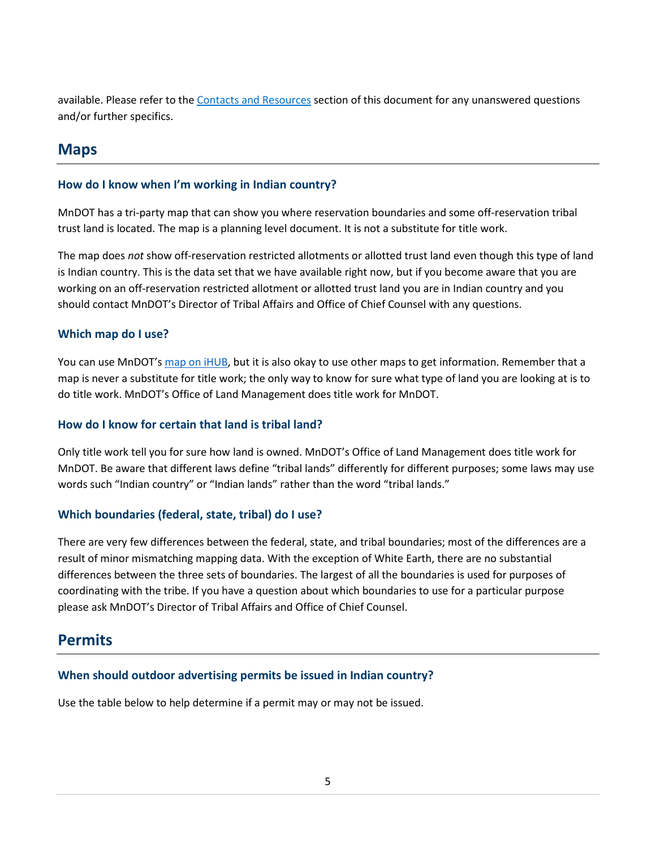available. Please refer to the [Contacts and Resources](#page-8-0) section of this document for any unanswered questions and/or further specifics.

### <span id="page-4-0"></span>**Maps**

### <span id="page-4-1"></span>**How do I know when I'm working in Indian country?**

MnDOT has a tri-party map that can show you where reservation boundaries and some off-reservation tribal trust land is located. The map is a planning level document. It is not a substitute for title work.

The map does *not* show off-reservation restricted allotments or allotted trust land even though this type of land is Indian country. This is the data set that we have available right now, but if you become aware that you are working on an off-reservation restricted allotment or allotted trust land you are in Indian country and you should contact MnDOT's Director of Tribal Affairs and Office of Chief Counsel with any questions.

### <span id="page-4-2"></span>**Which map do I use?**

You can use MnDOT's [map on iHUB,](http://ihub/tribal-lands/background.html) but it is also okay to use other maps to get information. Remember that a map is never a substitute for title work; the only way to know for sure what type of land you are looking at is to do title work. MnDOT's Office of Land Management does title work for MnDOT.

### <span id="page-4-3"></span>**How do I know for certain that land is tribal land?**

Only title work tell you for sure how land is owned. MnDOT's Office of Land Management does title work for MnDOT. Be aware that different laws define "tribal lands" differently for different purposes; some laws may use words such "Indian country" or "Indian lands" rather than the word "tribal lands."

### <span id="page-4-4"></span>**Which boundaries (federal, state, tribal) do I use?**

There are very few differences between the federal, state, and tribal boundaries; most of the differences are a result of minor mismatching mapping data. With the exception of White Earth, there are no substantial differences between the three sets of boundaries. The largest of all the boundaries is used for purposes of coordinating with the tribe. If you have a question about which boundaries to use for a particular purpose please ask MnDOT's Director of Tribal Affairs and Office of Chief Counsel.

### <span id="page-4-5"></span>**Permits**

### <span id="page-4-6"></span>**When should outdoor advertising permits be issued in Indian country?**

Use the table below to help determine if a permit may or may not be issued.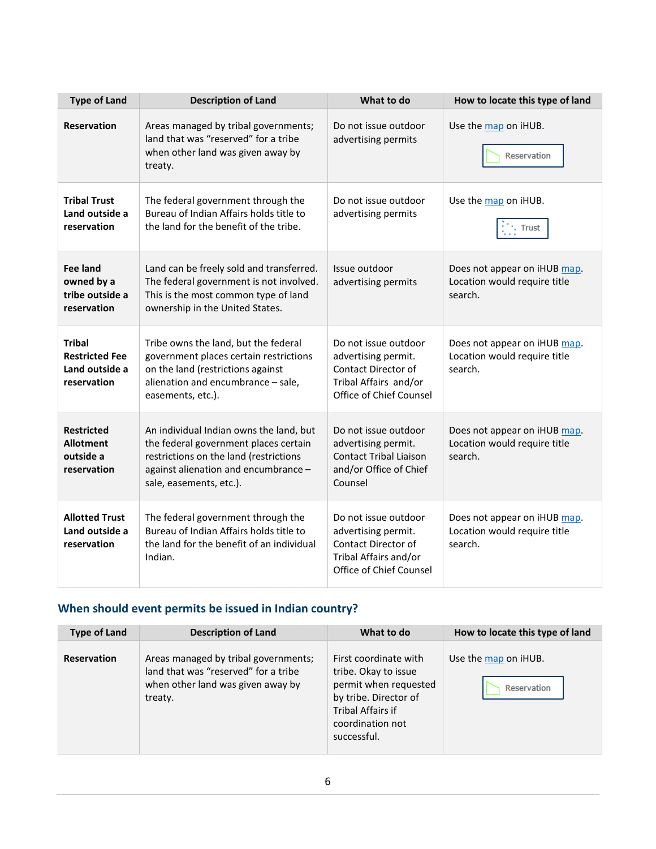| <b>Type of Land</b>                                                     | <b>Description of Land</b>                                                                                                                                                                    | What to do                                                                                                                    | How to locate this type of land                                         |
|-------------------------------------------------------------------------|-----------------------------------------------------------------------------------------------------------------------------------------------------------------------------------------------|-------------------------------------------------------------------------------------------------------------------------------|-------------------------------------------------------------------------|
| <b>Reservation</b>                                                      | Areas managed by tribal governments;<br>land that was "reserved" for a tribe<br>when other land was given away by<br>treaty.                                                                  | Do not issue outdoor<br>advertising permits                                                                                   | Use the map on iHUB.<br>Reservation                                     |
| <b>Tribal Trust</b><br>Land outside a<br>reservation                    | The federal government through the<br>Bureau of Indian Affairs holds title to<br>the land for the benefit of the tribe.                                                                       | Do not issue outdoor<br>advertising permits                                                                                   | Use the map on iHUB.<br><b>Trust</b>                                    |
| Fee land<br>owned by a<br>tribe outside a<br>reservation                | Land can be freely sold and transferred.<br>The federal government is not involved.<br>This is the most common type of land<br>ownership in the United States.                                | Issue outdoor<br>advertising permits                                                                                          | Does not appear on iHUB map.<br>Location would require title<br>search. |
| <b>Tribal</b><br><b>Restricted Fee</b><br>Land outside a<br>reservation | Tribe owns the land, but the federal<br>government places certain restrictions<br>on the land (restrictions against<br>alienation and encumbrance - sale,<br>easements, etc.).                | Do not issue outdoor<br>advertising permit.<br><b>Contact Director of</b><br>Tribal Affairs and/or<br>Office of Chief Counsel | Does not appear on iHUB map.<br>Location would require title<br>search. |
| <b>Restricted</b><br><b>Allotment</b><br>outside a<br>reservation       | An individual Indian owns the land, but<br>the federal government places certain<br>restrictions on the land (restrictions<br>against alienation and encumbrance -<br>sale, easements, etc.). | Do not issue outdoor<br>advertising permit.<br><b>Contact Tribal Liaison</b><br>and/or Office of Chief<br>Counsel             | Does not appear on iHUB map.<br>Location would require title<br>search. |
| <b>Allotted Trust</b><br>Land outside a<br>reservation                  | The federal government through the<br>Bureau of Indian Affairs holds title to<br>the land for the benefit of an individual<br>Indian.                                                         | Do not issue outdoor<br>advertising permit.<br>Contact Director of<br>Tribal Affairs and/or<br>Office of Chief Counsel        | Does not appear on iHUB map.<br>Location would require title<br>search. |

### <span id="page-5-0"></span>**When should event permits be issued in Indian country?**

| <b>Type of Land</b> | <b>Description of Land</b>                                                                                                   | What to do                                                                                                                                                     | How to locate this type of land     |
|---------------------|------------------------------------------------------------------------------------------------------------------------------|----------------------------------------------------------------------------------------------------------------------------------------------------------------|-------------------------------------|
| <b>Reservation</b>  | Areas managed by tribal governments;<br>land that was "reserved" for a tribe<br>when other land was given away by<br>treaty. | First coordinate with<br>tribe. Okay to issue<br>permit when requested<br>by tribe. Director of<br><b>Tribal Affairs if</b><br>coordination not<br>successful. | Use the map on iHUB.<br>Reservation |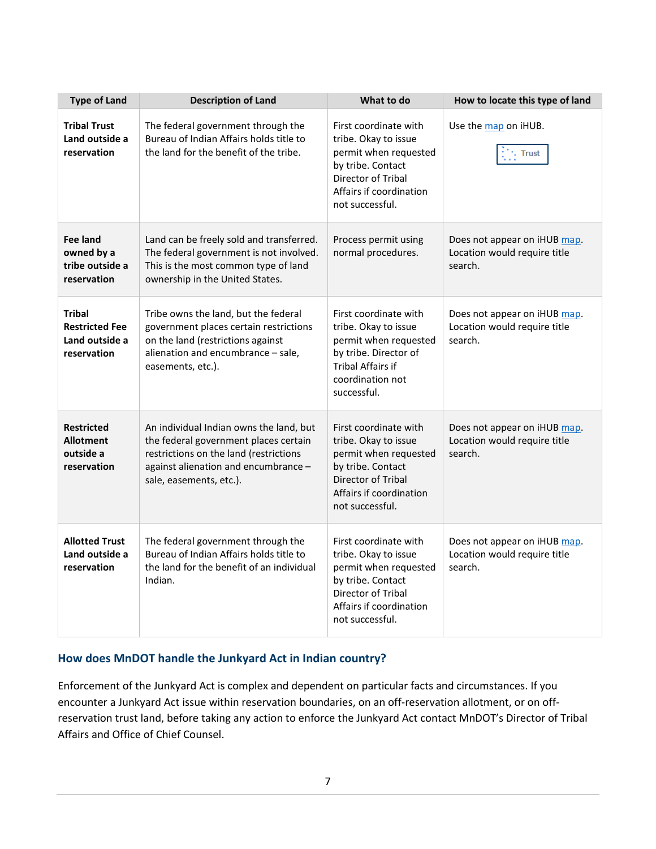| <b>Type of Land</b>                                                     | <b>Description of Land</b>                                                                                                                                                                    | What to do                                                                                                                                                      | How to locate this type of land                                         |
|-------------------------------------------------------------------------|-----------------------------------------------------------------------------------------------------------------------------------------------------------------------------------------------|-----------------------------------------------------------------------------------------------------------------------------------------------------------------|-------------------------------------------------------------------------|
| <b>Tribal Trust</b><br>Land outside a<br>reservation                    | The federal government through the<br>Bureau of Indian Affairs holds title to<br>the land for the benefit of the tribe.                                                                       | First coordinate with<br>tribe. Okay to issue<br>permit when requested<br>by tribe. Contact<br>Director of Tribal<br>Affairs if coordination<br>not successful. | Use the map on iHUB.<br><b>Trust</b>                                    |
| <b>Fee land</b><br>owned by a<br>tribe outside a<br>reservation         | Land can be freely sold and transferred.<br>The federal government is not involved.<br>This is the most common type of land<br>ownership in the United States.                                | Process permit using<br>normal procedures.                                                                                                                      | Does not appear on iHUB map.<br>Location would require title<br>search. |
| <b>Tribal</b><br><b>Restricted Fee</b><br>Land outside a<br>reservation | Tribe owns the land, but the federal<br>government places certain restrictions<br>on the land (restrictions against<br>alienation and encumbrance - sale,<br>easements, etc.).                | First coordinate with<br>tribe. Okay to issue<br>permit when requested<br>by tribe. Director of<br><b>Tribal Affairs if</b><br>coordination not<br>successful.  | Does not appear on iHUB map.<br>Location would require title<br>search. |
| <b>Restricted</b><br><b>Allotment</b><br>outside a<br>reservation       | An individual Indian owns the land, but<br>the federal government places certain<br>restrictions on the land (restrictions<br>against alienation and encumbrance -<br>sale, easements, etc.). | First coordinate with<br>tribe. Okay to issue<br>permit when requested<br>by tribe. Contact<br>Director of Tribal<br>Affairs if coordination<br>not successful. | Does not appear on iHUB map.<br>Location would require title<br>search. |
| <b>Allotted Trust</b><br>Land outside a<br>reservation                  | The federal government through the<br>Bureau of Indian Affairs holds title to<br>the land for the benefit of an individual<br>Indian.                                                         | First coordinate with<br>tribe. Okay to issue<br>permit when requested<br>by tribe. Contact<br>Director of Tribal<br>Affairs if coordination<br>not successful. | Does not appear on iHUB map.<br>Location would require title<br>search. |

### <span id="page-6-0"></span>**How does MnDOT handle the Junkyard Act in Indian country?**

Enforcement of the Junkyard Act is complex and dependent on particular facts and circumstances. If you encounter a Junkyard Act issue within reservation boundaries, on an off-reservation allotment, or on offreservation trust land, before taking any action to enforce the Junkyard Act contact MnDOT's Director of Tribal Affairs and Office of Chief Counsel.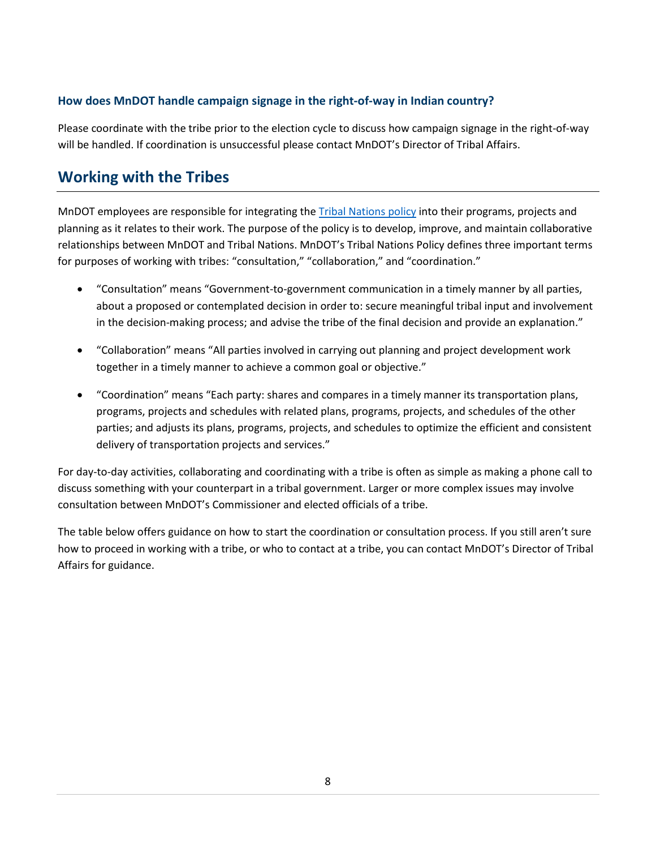### <span id="page-7-0"></span>**How does MnDOT handle campaign signage in the right-of-way in Indian country?**

Please coordinate with the tribe prior to the election cycle to discuss how campaign signage in the right-of-way will be handled. If coordination is unsuccessful please contact MnDOT's Director of Tribal Affairs.

### <span id="page-7-1"></span>**Working with the Tribes**

MnDOT employees are responsible for integrating th[e Tribal Nations policy](http://www.dot.state.mn.us/policy/admin/ad005.html) into their programs, projects and planning as it relates to their work. The purpose of the policy is to develop, improve, and maintain collaborative relationships between MnDOT and Tribal Nations. MnDOT's Tribal Nations Policy defines three important terms for purposes of working with tribes: "consultation," "collaboration," and "coordination."

- "Consultation" means "Government-to-government communication in a timely manner by all parties, about a proposed or contemplated decision in order to: secure meaningful tribal input and involvement in the decision-making process; and advise the tribe of the final decision and provide an explanation."
- "Collaboration" means "All parties involved in carrying out planning and project development work together in a timely manner to achieve a common goal or objective."
- "Coordination" means "Each party: shares and compares in a timely manner its transportation plans, programs, projects and schedules with related plans, programs, projects, and schedules of the other parties; and adjusts its plans, programs, projects, and schedules to optimize the efficient and consistent delivery of transportation projects and services."

For day-to-day activities, collaborating and coordinating with a tribe is often as simple as making a phone call to discuss something with your counterpart in a tribal government. Larger or more complex issues may involve consultation between MnDOT's Commissioner and elected officials of a tribe.

The table below offers guidance on how to start the coordination or consultation process. If you still aren't sure how to proceed in working with a tribe, or who to contact at a tribe, you can contact MnDOT's Director of Tribal Affairs for guidance.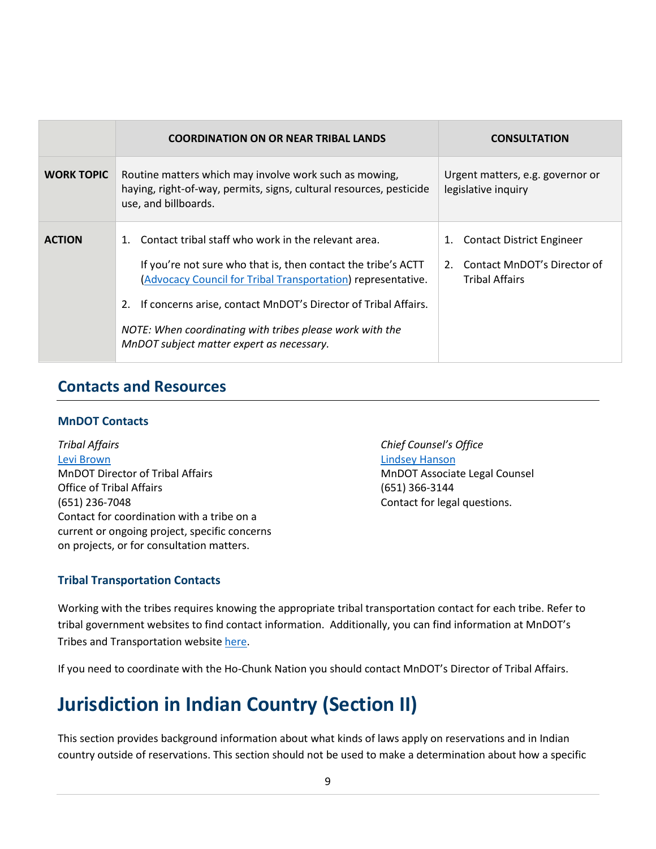|                   | <b>COORDINATION ON OR NEAR TRIBAL LANDS</b>                                                                                                                                                                                                                                                                                                                     | <b>CONSULTATION</b>                                                                               |
|-------------------|-----------------------------------------------------------------------------------------------------------------------------------------------------------------------------------------------------------------------------------------------------------------------------------------------------------------------------------------------------------------|---------------------------------------------------------------------------------------------------|
| <b>WORK TOPIC</b> | Routine matters which may involve work such as mowing,<br>haying, right-of-way, permits, signs, cultural resources, pesticide<br>use, and billboards.                                                                                                                                                                                                           | Urgent matters, e.g. governor or<br>legislative inquiry                                           |
| <b>ACTION</b>     | Contact tribal staff who work in the relevant area.<br>If you're not sure who that is, then contact the tribe's ACTT<br>(Advocacy Council for Tribal Transportation) representative.<br>If concerns arise, contact MnDOT's Director of Tribal Affairs.<br>NOTE: When coordinating with tribes please work with the<br>MnDOT subject matter expert as necessary. | <b>Contact District Engineer</b><br>1.<br>2. Contact MnDOT's Director of<br><b>Tribal Affairs</b> |

### <span id="page-8-0"></span>**Contacts and Resources**

### <span id="page-8-1"></span>**MnDOT Contacts**

*Tribal Affairs* [Levi Brown](mailto:levi.brown@state.mn.us) MnDOT Director of Tribal Affairs Office of Tribal Affairs (651) 236-7048 Contact for coordination with a tribe on a current or ongoing project, specific concerns on projects, or for consultation matters.

<span id="page-8-4"></span>*Chief Counsel's Office* [Lindsey Hanson](mailto:lindsey.k.hanson@gmail.com) MnDOT Associate Legal Counsel (651) 366-3144 Contact for legal questions.

### <span id="page-8-2"></span>**Tribal Transportation Contacts**

Working with the tribes requires knowing the appropriate tribal transportation contact for each tribe. Refer to tribal government websites to find contact information. Additionally, you can find information at MnDOT's Tribes and Transportation website [here.](http://www.dot.state.mn.us/mntribes/)

If you need to coordinate with the Ho-Chunk Nation you should contact MnDOT's Director of Tribal Affairs.

# <span id="page-8-3"></span>**Jurisdiction in Indian Country (Section II)**

This section provides background information about what kinds of laws apply on reservations and in Indian country outside of reservations. This section should not be used to make a determination about how a specific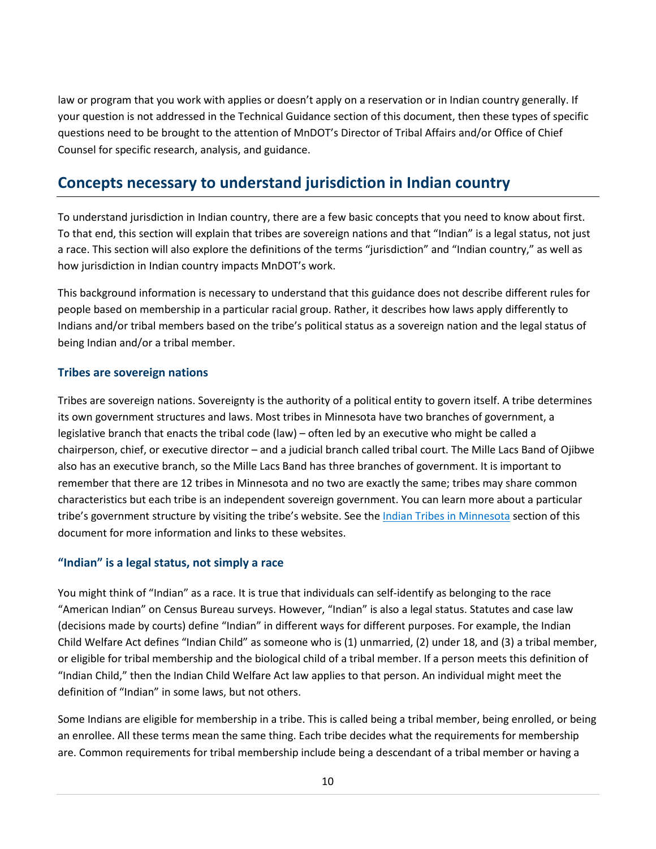law or program that you work with applies or doesn't apply on a reservation or in Indian country generally. If your question is not addressed in the Technical Guidance section of this document, then these types of specific questions need to be brought to the attention of MnDOT's Director of Tribal Affairs and/or Office of Chief Counsel for specific research, analysis, and guidance.

### <span id="page-9-0"></span>**Concepts necessary to understand jurisdiction in Indian country**

To understand jurisdiction in Indian country, there are a few basic concepts that you need to know about first. To that end, this section will explain that tribes are sovereign nations and that "Indian" is a legal status, not just a race. This section will also explore the definitions of the terms "jurisdiction" and "Indian country," as well as how jurisdiction in Indian country impacts MnDOT's work.

This background information is necessary to understand that this guidance does not describe different rules for people based on membership in a particular racial group. Rather, it describes how laws apply differently to Indians and/or tribal members based on the tribe's political status as a sovereign nation and the legal status of being Indian and/or a tribal member.

### <span id="page-9-1"></span>**Tribes are sovereign nations**

Tribes are sovereign nations. Sovereignty is the authority of a political entity to govern itself. A tribe determines its own government structures and laws. Most tribes in Minnesota have two branches of government, a legislative branch that enacts the tribal code (law) – often led by an executive who might be called a chairperson, chief, or executive director – and a judicial branch called tribal court. The Mille Lacs Band of Ojibwe also has an executive branch, so the Mille Lacs Band has three branches of government. It is important to remember that there are 12 tribes in Minnesota and no two are exactly the same; tribes may share common characteristics but each tribe is an independent sovereign government. You can learn more about a particular tribe's government structure by visiting the tribe's website. See the [Indian Tribes](#page-19-1) in Minnesota section of this document for more information and links to these websites.

### <span id="page-9-2"></span>**"Indian" is a legal status, not simply a race**

You might think of "Indian" as a race. It is true that individuals can self-identify as belonging to the race "American Indian" on Census Bureau surveys. However, "Indian" is also a legal status. Statutes and case law (decisions made by courts) define "Indian" in different ways for different purposes. For example, the Indian Child Welfare Act defines "Indian Child" as someone who is (1) unmarried, (2) under 18, and (3) a tribal member, or eligible for tribal membership and the biological child of a tribal member. If a person meets this definition of "Indian Child," then the Indian Child Welfare Act law applies to that person. An individual might meet the definition of "Indian" in some laws, but not others.

Some Indians are eligible for membership in a tribe. This is called being a tribal member, being enrolled, or being an enrollee. All these terms mean the same thing. Each tribe decides what the requirements for membership are. Common requirements for tribal membership include being a descendant of a tribal member or having a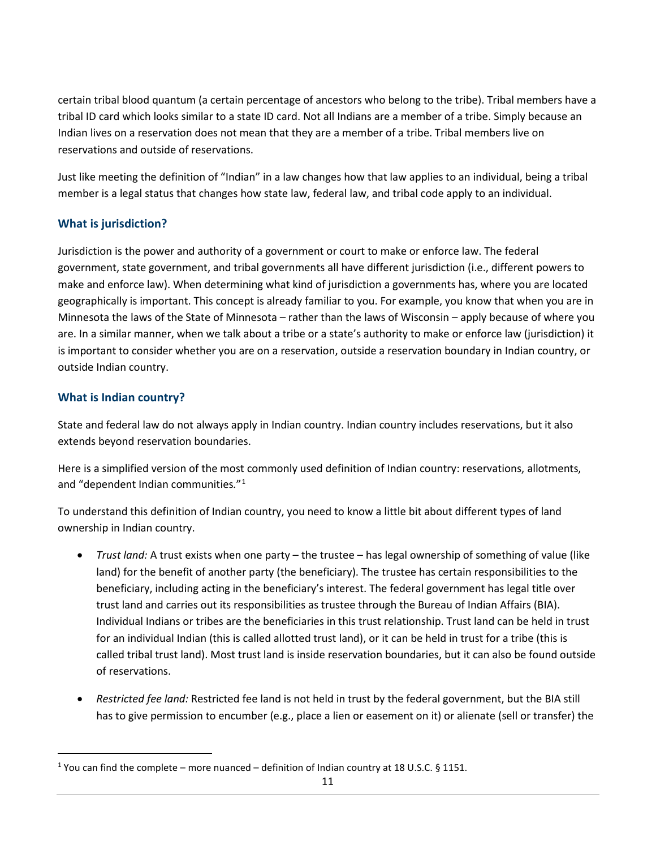certain tribal blood quantum (a certain percentage of ancestors who belong to the tribe). Tribal members have a tribal ID card which looks similar to a state ID card. Not all Indians are a member of a tribe. Simply because an Indian lives on a reservation does not mean that they are a member of a tribe. Tribal members live on reservations and outside of reservations.

Just like meeting the definition of "Indian" in a law changes how that law applies to an individual, being a tribal member is a legal status that changes how state law, federal law, and tribal code apply to an individual.

### <span id="page-10-0"></span>**What is jurisdiction?**

Jurisdiction is the power and authority of a government or court to make or enforce law. The federal government, state government, and tribal governments all have different jurisdiction (i.e., different powers to make and enforce law). When determining what kind of jurisdiction a governments has, where you are located geographically is important. This concept is already familiar to you. For example, you know that when you are in Minnesota the laws of the State of Minnesota – rather than the laws of Wisconsin – apply because of where you are. In a similar manner, when we talk about a tribe or a state's authority to make or enforce law (jurisdiction) it is important to consider whether you are on a reservation, outside a reservation boundary in Indian country, or outside Indian country.

### <span id="page-10-1"></span>**What is Indian country?**

State and federal law do not always apply in Indian country. Indian country includes reservations, but it also extends beyond reservation boundaries.

Here is a simplified version of the most commonly used definition of Indian country: reservations, allotments, and "dependent Indian communities*.*"[1](#page-10-2)

To understand this definition of Indian country, you need to know a little bit about different types of land ownership in Indian country.

- *Trust land:* A trust exists when one party the trustee has legal ownership of something of value (like land) for the benefit of another party (the beneficiary). The trustee has certain responsibilities to the beneficiary, including acting in the beneficiary's interest. The federal government has legal title over trust land and carries out its responsibilities as trustee through the Bureau of Indian Affairs (BIA). Individual Indians or tribes are the beneficiaries in this trust relationship. Trust land can be held in trust for an individual Indian (this is called allotted trust land), or it can be held in trust for a tribe (this is called tribal trust land). Most trust land is inside reservation boundaries, but it can also be found outside of reservations.
- *Restricted fee land:* Restricted fee land is not held in trust by the federal government, but the BIA still has to give permission to encumber (e.g., place a lien or easement on it) or alienate (sell or transfer) the

<span id="page-10-2"></span><sup>&</sup>lt;sup>1</sup> You can find the complete – more nuanced – definition of Indian country at 18 U.S.C. § 1151.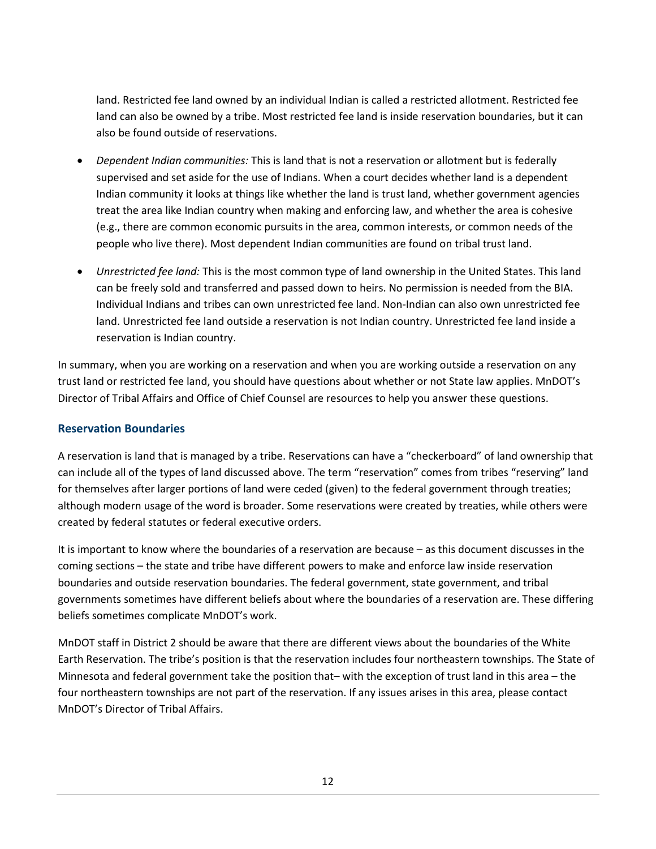land. Restricted fee land owned by an individual Indian is called a restricted allotment. Restricted fee land can also be owned by a tribe. Most restricted fee land is inside reservation boundaries, but it can also be found outside of reservations.

- *Dependent Indian communities:* This is land that is not a reservation or allotment but is federally supervised and set aside for the use of Indians. When a court decides whether land is a dependent Indian community it looks at things like whether the land is trust land, whether government agencies treat the area like Indian country when making and enforcing law, and whether the area is cohesive (e.g., there are common economic pursuits in the area, common interests, or common needs of the people who live there). Most dependent Indian communities are found on tribal trust land.
- *Unrestricted fee land:* This is the most common type of land ownership in the United States. This land can be freely sold and transferred and passed down to heirs. No permission is needed from the BIA. Individual Indians and tribes can own unrestricted fee land. Non-Indian can also own unrestricted fee land. Unrestricted fee land outside a reservation is not Indian country. Unrestricted fee land inside a reservation is Indian country.

In summary, when you are working on a reservation and when you are working outside a reservation on any trust land or restricted fee land, you should have questions about whether or not State law applies. MnDOT's Director of Tribal Affairs and Office of Chief Counsel are resources to help you answer these questions.

### <span id="page-11-0"></span>**Reservation Boundaries**

A reservation is land that is managed by a tribe. Reservations can have a "checkerboard" of land ownership that can include all of the types of land discussed above. The term "reservation" comes from tribes "reserving" land for themselves after larger portions of land were ceded (given) to the federal government through treaties; although modern usage of the word is broader. Some reservations were created by treaties, while others were created by federal statutes or federal executive orders.

It is important to know where the boundaries of a reservation are because – as this document discusses in the coming sections – the state and tribe have different powers to make and enforce law inside reservation boundaries and outside reservation boundaries. The federal government, state government, and tribal governments sometimes have different beliefs about where the boundaries of a reservation are. These differing beliefs sometimes complicate MnDOT's work.

MnDOT staff in District 2 should be aware that there are different views about the boundaries of the White Earth Reservation. The tribe's position is that the reservation includes four northeastern townships. The State of Minnesota and federal government take the position that– with the exception of trust land in this area – the four northeastern townships are not part of the reservation. If any issues arises in this area, please contact MnDOT's Director of Tribal Affairs.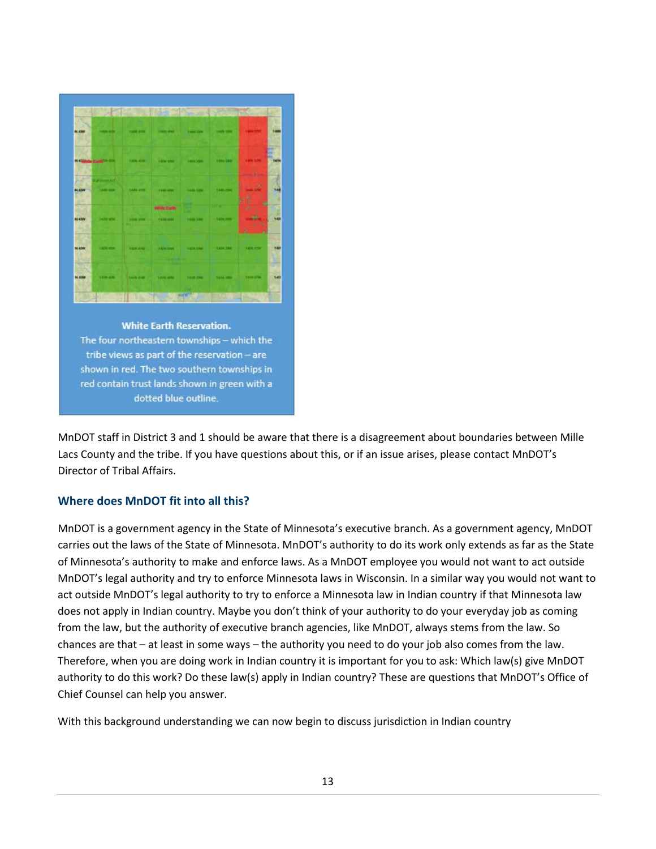

MnDOT staff in District 3 and 1 should be aware that there is a disagreement about boundaries between Mille Lacs County and the tribe. If you have questions about this, or if an issue arises, please contact MnDOT's Director of Tribal Affairs.

### <span id="page-12-0"></span>**Where does MnDOT fit into all this?**

MnDOT is a government agency in the State of Minnesota's executive branch. As a government agency, MnDOT carries out the laws of the State of Minnesota. MnDOT's authority to do its work only extends as far as the State of Minnesota's authority to make and enforce laws. As a MnDOT employee you would not want to act outside MnDOT's legal authority and try to enforce Minnesota laws in Wisconsin. In a similar way you would not want to act outside MnDOT's legal authority to try to enforce a Minnesota law in Indian country if that Minnesota law does not apply in Indian country. Maybe you don't think of your authority to do your everyday job as coming from the law, but the authority of executive branch agencies, like MnDOT, always stems from the law. So chances are that – at least in some ways – the authority you need to do your job also comes from the law. Therefore, when you are doing work in Indian country it is important for you to ask: Which law(s) give MnDOT authority to do this work? Do these law(s) apply in Indian country? These are questions that MnDOT's Office of Chief Counsel can help you answer.

With this background understanding we can now begin to discuss jurisdiction in Indian country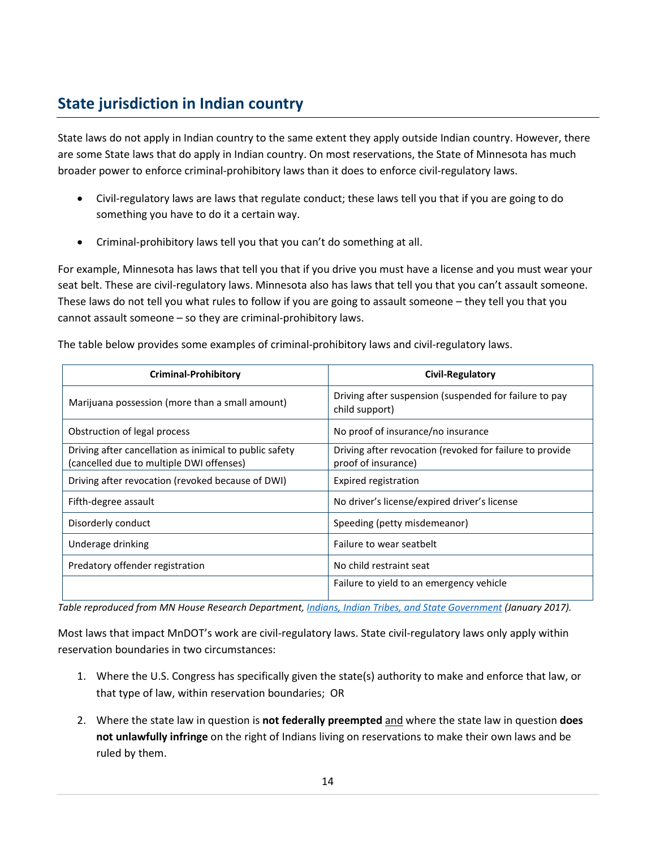### <span id="page-13-0"></span>**State jurisdiction in Indian country**

State laws do not apply in Indian country to the same extent they apply outside Indian country. However, there are some State laws that do apply in Indian country. On most reservations, the State of Minnesota has much broader power to enforce criminal-prohibitory laws than it does to enforce civil-regulatory laws.

- Civil-regulatory laws are laws that regulate conduct; these laws tell you that if you are going to do something you have to do it a certain way.
- Criminal-prohibitory laws tell you that you can't do something at all.

For example, Minnesota has laws that tell you that if you drive you must have a license and you must wear your seat belt. These are civil-regulatory laws. Minnesota also has laws that tell you that you can't assault someone. These laws do not tell you what rules to follow if you are going to assault someone – they tell you that you cannot assault someone – so they are criminal-prohibitory laws.

|  | The table below provides some examples of criminal-prohibitory laws and civil-regulatory laws. |  |
|--|------------------------------------------------------------------------------------------------|--|
|  |                                                                                                |  |

| Criminal-Prohibitory                                                                                | Civil-Regulatory                                                                |
|-----------------------------------------------------------------------------------------------------|---------------------------------------------------------------------------------|
| Marijuana possession (more than a small amount)                                                     | Driving after suspension (suspended for failure to pay<br>child support)        |
| Obstruction of legal process                                                                        | No proof of insurance/no insurance                                              |
| Driving after cancellation as inimical to public safety<br>(cancelled due to multiple DWI offenses) | Driving after revocation (revoked for failure to provide<br>proof of insurance) |
| Driving after revocation (revoked because of DWI)                                                   | Expired registration                                                            |
| Fifth-degree assault                                                                                | No driver's license/expired driver's license                                    |
| Disorderly conduct                                                                                  | Speeding (petty misdemeanor)                                                    |
| Underage drinking                                                                                   | Failure to wear seatbelt                                                        |
| Predatory offender registration                                                                     | No child restraint seat                                                         |
|                                                                                                     | Failure to yield to an emergency vehicle                                        |

*Table reproduced from MN House Research Department[, Indians, Indian Tribes, and State Government](http://www.house.leg.state.mn.us/hrd/pubs/indiangb.pdf) (January 2017).*

Most laws that impact MnDOT's work are civil-regulatory laws. State civil-regulatory laws only apply within reservation boundaries in two circumstances:

- 1. Where the U.S. Congress has specifically given the state(s) authority to make and enforce that law, or that type of law, within reservation boundaries; OR
- 2. Where the state law in question is **not federally preempted** and where the state law in question **does not unlawfully infringe** on the right of Indians living on reservations to make their own laws and be ruled by them.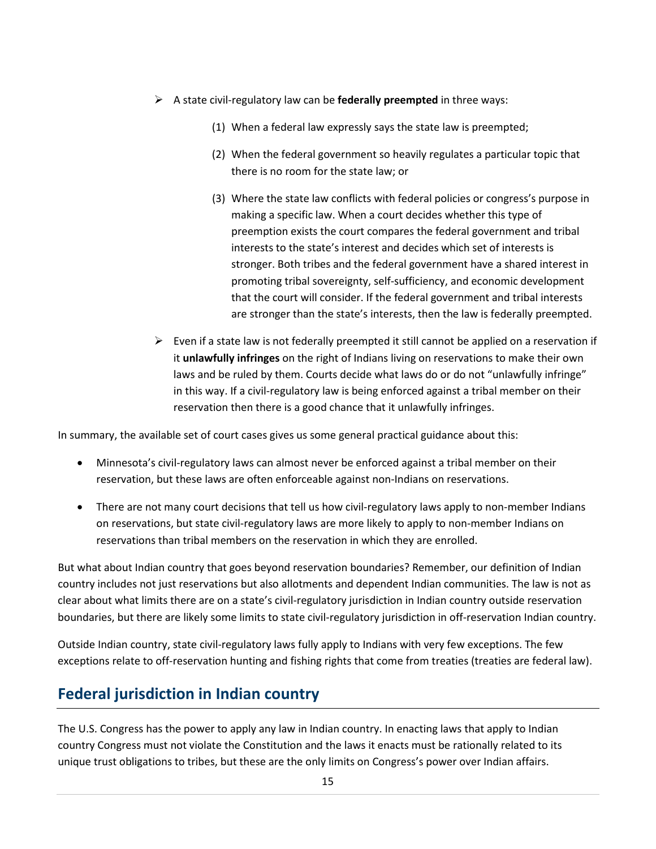- A state civil-regulatory law can be **federally preempted** in three ways:
	- (1) When a federal law expressly says the state law is preempted;
	- (2) When the federal government so heavily regulates a particular topic that there is no room for the state law; or
	- (3) Where the state law conflicts with federal policies or congress's purpose in making a specific law. When a court decides whether this type of preemption exists the court compares the federal government and tribal interests to the state's interest and decides which set of interests is stronger. Both tribes and the federal government have a shared interest in promoting tribal sovereignty, self-sufficiency, and economic development that the court will consider. If the federal government and tribal interests are stronger than the state's interests, then the law is federally preempted.
- $\triangleright$  Even if a state law is not federally preempted it still cannot be applied on a reservation if it **unlawfully infringes** on the right of Indians living on reservations to make their own laws and be ruled by them. Courts decide what laws do or do not "unlawfully infringe" in this way. If a civil-regulatory law is being enforced against a tribal member on their reservation then there is a good chance that it unlawfully infringes.

In summary, the available set of court cases gives us some general practical guidance about this:

- Minnesota's civil-regulatory laws can almost never be enforced against a tribal member on their reservation, but these laws are often enforceable against non-Indians on reservations.
- There are not many court decisions that tell us how civil-regulatory laws apply to non-member Indians on reservations, but state civil-regulatory laws are more likely to apply to non-member Indians on reservations than tribal members on the reservation in which they are enrolled.

But what about Indian country that goes beyond reservation boundaries? Remember, our definition of Indian country includes not just reservations but also allotments and dependent Indian communities. The law is not as clear about what limits there are on a state's civil-regulatory jurisdiction in Indian country outside reservation boundaries, but there are likely some limits to state civil-regulatory jurisdiction in off-reservation Indian country.

Outside Indian country, state civil-regulatory laws fully apply to Indians with very few exceptions. The few exceptions relate to off-reservation hunting and fishing rights that come from treaties (treaties are federal law).

### <span id="page-14-0"></span>**Federal jurisdiction in Indian country**

The U.S. Congress has the power to apply any law in Indian country. In enacting laws that apply to Indian country Congress must not violate the Constitution and the laws it enacts must be rationally related to its unique trust obligations to tribes, but these are the only limits on Congress's power over Indian affairs.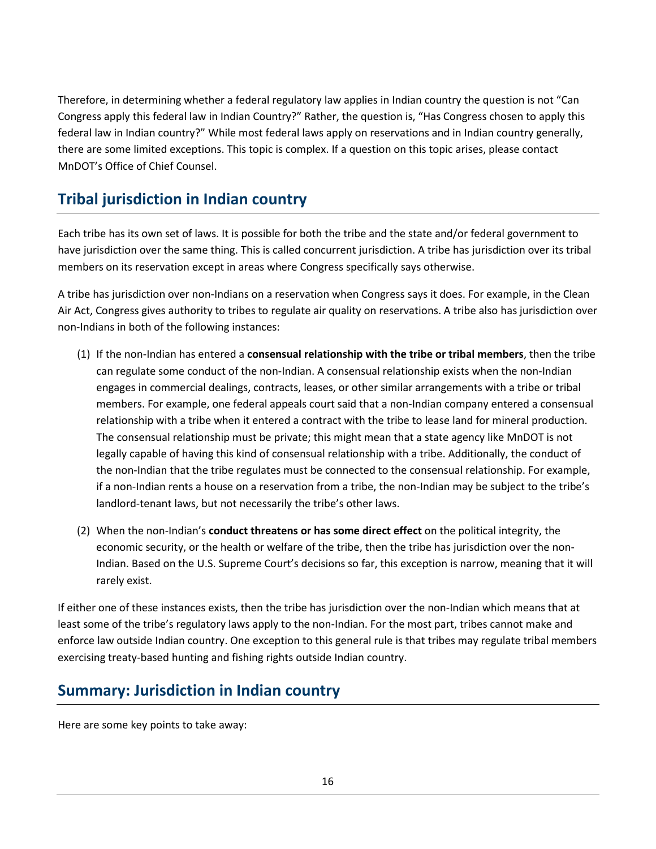Therefore, in determining whether a federal regulatory law applies in Indian country the question is not "Can Congress apply this federal law in Indian Country?" Rather, the question is, "Has Congress chosen to apply this federal law in Indian country?" While most federal laws apply on reservations and in Indian country generally, there are some limited exceptions. This topic is complex. If a question on this topic arises, please contact MnDOT's Office of Chief Counsel.

### <span id="page-15-0"></span>**Tribal jurisdiction in Indian country**

Each tribe has its own set of laws. It is possible for both the tribe and the state and/or federal government to have jurisdiction over the same thing. This is called concurrent jurisdiction. A tribe has jurisdiction over its tribal members on its reservation except in areas where Congress specifically says otherwise.

A tribe has jurisdiction over non-Indians on a reservation when Congress says it does. For example, in the Clean Air Act, Congress gives authority to tribes to regulate air quality on reservations. A tribe also has jurisdiction over non-Indians in both of the following instances:

- (1) If the non-Indian has entered a **consensual relationship with the tribe or tribal members**, then the tribe can regulate some conduct of the non-Indian. A consensual relationship exists when the non-Indian engages in commercial dealings, contracts, leases, or other similar arrangements with a tribe or tribal members. For example, one federal appeals court said that a non-Indian company entered a consensual relationship with a tribe when it entered a contract with the tribe to lease land for mineral production. The consensual relationship must be private; this might mean that a state agency like MnDOT is not legally capable of having this kind of consensual relationship with a tribe. Additionally, the conduct of the non-Indian that the tribe regulates must be connected to the consensual relationship. For example, if a non-Indian rents a house on a reservation from a tribe, the non-Indian may be subject to the tribe's landlord-tenant laws, but not necessarily the tribe's other laws.
- (2) When the non-Indian's **conduct threatens or has some direct effect** on the political integrity, the economic security, or the health or welfare of the tribe, then the tribe has jurisdiction over the non-Indian. Based on the U.S. Supreme Court's decisions so far, this exception is narrow, meaning that it will rarely exist.

If either one of these instances exists, then the tribe has jurisdiction over the non-Indian which means that at least some of the tribe's regulatory laws apply to the non-Indian. For the most part, tribes cannot make and enforce law outside Indian country. One exception to this general rule is that tribes may regulate tribal members exercising treaty-based hunting and fishing rights outside Indian country.

### <span id="page-15-1"></span>**Summary: Jurisdiction in Indian country**

Here are some key points to take away: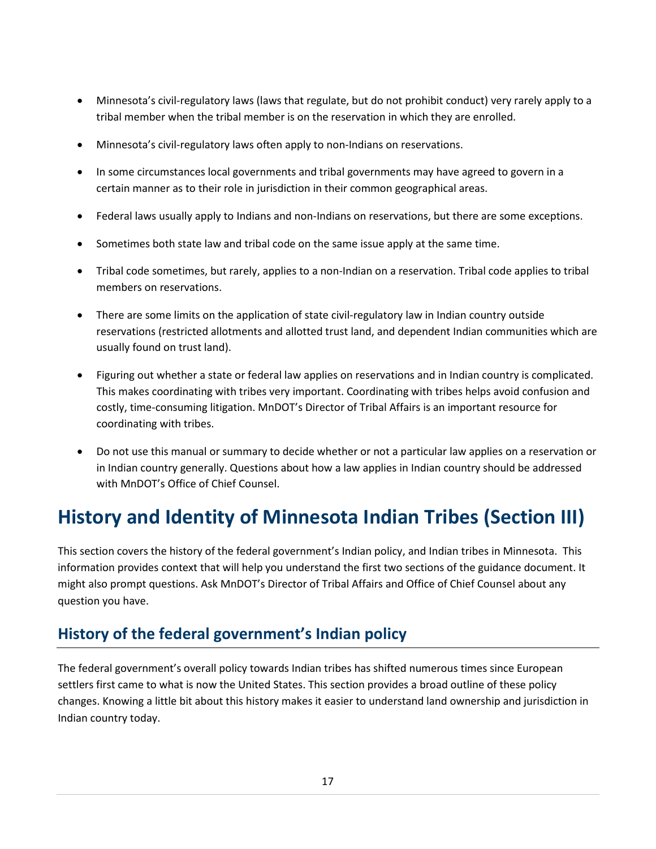- Minnesota's civil-regulatory laws (laws that regulate, but do not prohibit conduct) very rarely apply to a tribal member when the tribal member is on the reservation in which they are enrolled.
- Minnesota's civil-regulatory laws often apply to non-Indians on reservations.
- In some circumstances local governments and tribal governments may have agreed to govern in a certain manner as to their role in jurisdiction in their common geographical areas.
- Federal laws usually apply to Indians and non-Indians on reservations, but there are some exceptions.
- Sometimes both state law and tribal code on the same issue apply at the same time.
- Tribal code sometimes, but rarely, applies to a non-Indian on a reservation. Tribal code applies to tribal members on reservations.
- There are some limits on the application of state civil-regulatory law in Indian country outside reservations (restricted allotments and allotted trust land, and dependent Indian communities which are usually found on trust land).
- Figuring out whether a state or federal law applies on reservations and in Indian country is complicated. This makes coordinating with tribes very important. Coordinating with tribes helps avoid confusion and costly, time-consuming litigation. MnDOT's Director of Tribal Affairs is an important resource for coordinating with tribes.
- Do not use this manual or summary to decide whether or not a particular law applies on a reservation or in Indian country generally. Questions about how a law applies in Indian country should be addressed with MnDOT's Office of Chief Counsel.

# <span id="page-16-0"></span>**History and Identity of Minnesota Indian Tribes (Section III)**

This section covers the history of the federal government's Indian policy, and Indian tribes in Minnesota. This information provides context that will help you understand the first two sections of the guidance document. It might also prompt questions. Ask MnDOT's Director of Tribal Affairs and Office of Chief Counsel about any question you have.

### <span id="page-16-1"></span>**History of the federal government's Indian policy**

The federal government's overall policy towards Indian tribes has shifted numerous times since European settlers first came to what is now the United States. This section provides a broad outline of these policy changes. Knowing a little bit about this history makes it easier to understand land ownership and jurisdiction in Indian country today.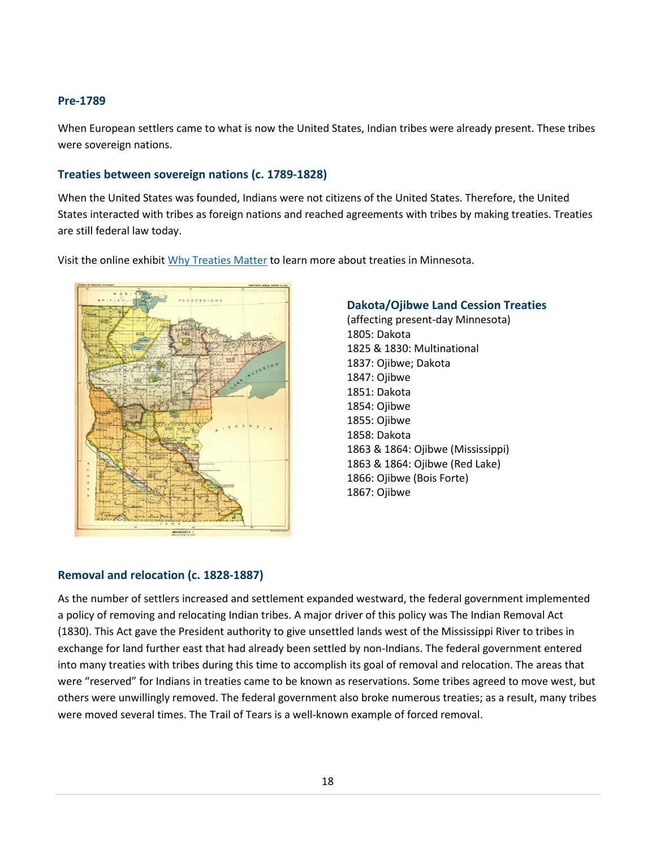### <span id="page-17-0"></span>**Pre-1789**

When European settlers came to what is now the United States, Indian tribes were already present. These tribes were sovereign nations.

#### <span id="page-17-1"></span>**Treaties between sovereign nations (c. 1789-1828)**

When the United States was founded, Indians were not citizens of the United States. Therefore, the United States interacted with tribes as foreign nations and reached agreements with tribes by making treaties. Treaties are still federal law today.

Visit the online exhibi[t Why Treaties Matter](http://treatiesmatter.org/exhibit/) to learn more about treaties in Minnesota.



#### **Dakota/Ojibwe Land Cession Treaties**

(affecting present-day Minnesota) [1805: Dakota](http://treatiesmatter.org/treaties/land/1805-dakota) [1825 & 1830: Multinational](http://treatiesmatter.org/treaties/land/1825-1830-Multinational) [1837: Ojibwe; Dakota](http://treatiesmatter.org/treaties/land/1837-ojibwe-dakota) [1847: Ojibwe](http://treatiesmatter.org/treaties/land/1847-ojibwe) [1851: Dakota](http://treatiesmatter.org/treaties/land/1851-Dakota) [1854: Ojibwe](http://treatiesmatter.org/treaties/land/1854-ojibwe) [1855: Ojibwe](http://treatiesmatter.org/treaties/land/1855-ojibwe) [1858: Dakota](http://treatiesmatter.org/treaties/land/1858-dakota) [1863 & 1864: Ojibwe](http://treatiesmatter.org/treaties/land/1863-1864-ojibwe-miss) [\(Mississippi\)](http://treatiesmatter.org/treaties/land/1863-1864-ojibwe-miss) [1863 & 1864: Ojibwe](http://treatiesmatter.org/treaties/land/1863-1864-ojibwe-rl) [\(Red Lake\)](http://treatiesmatter.org/treaties/land/1863-1864-ojibwe-rl) [1866: Ojibwe](http://treatiesmatter.org/treaties/land/1866-ojibwe) [\(Bois Forte\)](http://treatiesmatter.org/treaties/land/1866-ojibwe) [1867: Ojibwe](http://treatiesmatter.org/treaties/land/1867-ojibwe)

### <span id="page-17-2"></span>**Removal and relocation (c. 1828-1887)**

As the number of settlers increased and settlement expanded westward, the federal government implemented a policy of removing and relocating Indian tribes. A major driver of this policy was The Indian Removal Act (1830). This Act gave the President authority to give unsettled lands west of the Mississippi River to tribes in exchange for land further east that had already been settled by non-Indians. The federal government entered into many treaties with tribes during this time to accomplish its goal of removal and relocation. The areas that were "reserved" for Indians in treaties came to be known as reservations. Some tribes agreed to move west, but others were unwillingly removed. The federal government also broke numerous treaties; as a result, many tribes were moved several times. The Trail of Tears is a well-known example of forced removal.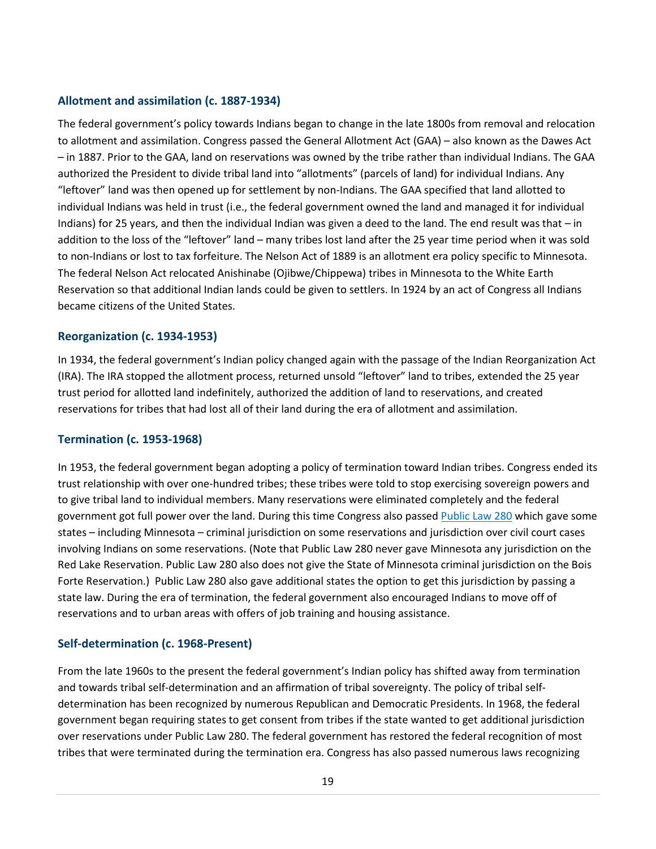### <span id="page-18-0"></span>**Allotment and assimilation (c. 1887-1934)**

The federal government's policy towards Indians began to change in the late 1800s from removal and relocation to allotment and assimilation. Congress passed the General Allotment Act (GAA) – also known as the Dawes Act – in 1887. Prior to the GAA, land on reservations was owned by the tribe rather than individual Indians. The GAA authorized the President to divide tribal land into "allotments" (parcels of land) for individual Indians. Any "leftover" land was then opened up for settlement by non-Indians. The GAA specified that land allotted to individual Indians was held in trust (i.e., the federal government owned the land and managed it for individual Indians) for 25 years, and then the individual Indian was given a deed to the land. The end result was that – in addition to the loss of the "leftover" land – many tribes lost land after the 25 year time period when it was sold to non-Indians or lost to tax forfeiture. The Nelson Act of 1889 is an allotment era policy specific to Minnesota. The federal Nelson Act relocated Anishinabe (Ojibwe/Chippewa) tribes in Minnesota to the White Earth Reservation so that additional Indian lands could be given to settlers. In 1924 by an act of Congress all Indians became citizens of the United States.

### <span id="page-18-1"></span>**Reorganization (c. 1934-1953)**

In 1934, the federal government's Indian policy changed again with the passage of the Indian Reorganization Act (IRA). The IRA stopped the allotment process, returned unsold "leftover" land to tribes, extended the 25 year trust period for allotted land indefinitely, authorized the addition of land to reservations, and created reservations for tribes that had lost all of their land during the era of allotment and assimilation.

### <span id="page-18-2"></span>**Termination (c. 1953-1968)**

In 1953, the federal government began adopting a policy of termination toward Indian tribes. Congress ended its trust relationship with over one-hundred tribes; these tribes were told to stop exercising sovereign powers and to give tribal land to individual members. Many reservations were eliminated completely and the federal government got full power over the land. During this time Congress also passed [Public Law 280](#page-23-0) which gave some states – including Minnesota – criminal jurisdiction on some reservations and jurisdiction over civil court cases involving Indians on some reservations. (Note that Public Law 280 never gave Minnesota any jurisdiction on the Red Lake Reservation. Public Law 280 also does not give the State of Minnesota criminal jurisdiction on the Bois Forte Reservation.) Public Law 280 also gave additional states the option to get this jurisdiction by passing a state law. During the era of termination, the federal government also encouraged Indians to move off of reservations and to urban areas with offers of job training and housing assistance.

### <span id="page-18-3"></span>**Self-determination (c. 1968-Present)**

From the late 1960s to the present the federal government's Indian policy has shifted away from termination and towards tribal self-determination and an affirmation of tribal sovereignty. The policy of tribal selfdetermination has been recognized by numerous Republican and Democratic Presidents. In 1968, the federal government began requiring states to get consent from tribes if the state wanted to get additional jurisdiction over reservations under Public Law 280. The federal government has restored th[e federal recognition](#page-23-1) of most tribes that were terminated during the termination era. Congress has also passed numerous laws recognizing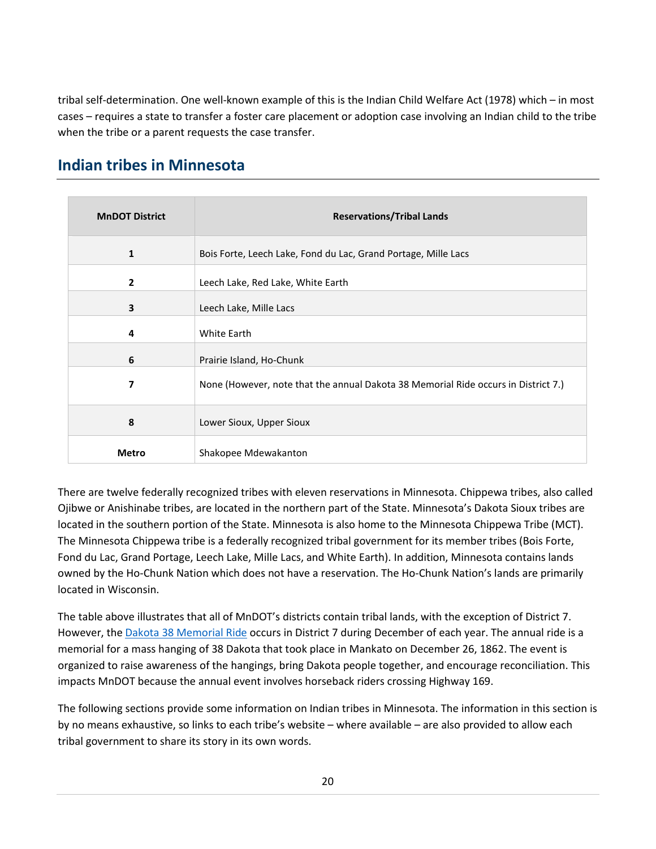tribal self-determination. One well-known example of this is the Indian Child Welfare Act (1978) which – in most cases – requires a state to transfer a foster care placement or adoption case involving an Indian child to the tribe when the tribe or a parent requests the case transfer.

### <span id="page-19-0"></span>**Indian tribes in Minnesota**

<span id="page-19-1"></span>

| <b>MnDOT District</b> | <b>Reservations/Tribal Lands</b>                                                   |
|-----------------------|------------------------------------------------------------------------------------|
| 1                     | Bois Forte, Leech Lake, Fond du Lac, Grand Portage, Mille Lacs                     |
| $\overline{2}$        | Leech Lake, Red Lake, White Earth                                                  |
| 3                     | Leech Lake, Mille Lacs                                                             |
| 4                     | White Earth                                                                        |
| 6                     | Prairie Island, Ho-Chunk                                                           |
| 7                     | None (However, note that the annual Dakota 38 Memorial Ride occurs in District 7.) |
| 8                     | Lower Sioux, Upper Sioux                                                           |
| Metro                 | Shakopee Mdewakanton                                                               |

There are twelve federally recognized tribes with eleven reservations in Minnesota. Chippewa tribes, also called Ojibwe or Anishinabe tribes, are located in the northern part of the State. Minnesota's Dakota Sioux tribes are located in the southern portion of the State. Minnesota is also home to the Minnesota Chippewa Tribe (MCT). The Minnesota Chippewa tribe is a federally recognized tribal government for its member tribes (Bois Forte, Fond du Lac, Grand Portage, Leech Lake, Mille Lacs, and White Earth). In addition, Minnesota contains lands owned by the Ho-Chunk Nation which does not have a reservation. The Ho-Chunk Nation's lands are primarily located in Wisconsin.

The table above illustrates that all of MnDOT's districts contain tribal lands, with the exception of District 7. However, the [Dakota 38 Memorial Ride](http://sunktanka.weebly.com/dakota-38-plus-2-memorial-ride.html) occurs in District 7 during December of each year. The annual ride is a memorial for a mass hanging of 38 Dakota that took place in Mankato on December 26, 1862. The event is organized to raise awareness of the hangings, bring Dakota people together, and encourage reconciliation. This impacts MnDOT because the annual event involves horseback riders crossing Highway 169.

The following sections provide some information on Indian tribes in Minnesota. The information in this section is by no means exhaustive, so links to each tribe's website – where available – are also provided to allow each tribal government to share its story in its own words.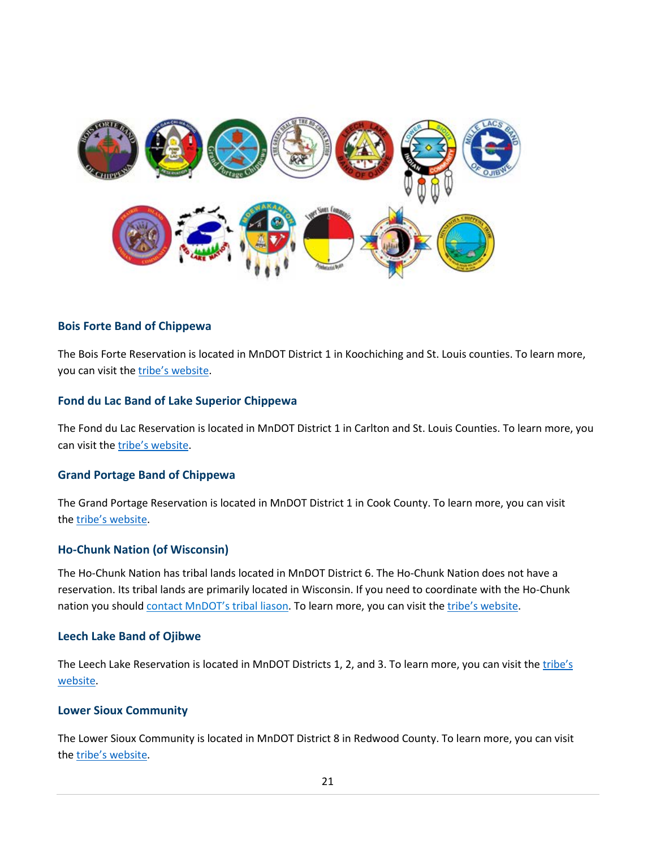

#### <span id="page-20-0"></span>**Bois Forte Band of Chippewa**

The Bois Forte Reservation is located in MnDOT District 1 in Koochiching and St. Louis counties. To learn more, you can visit the [tribe's website.](http://www.boisforte.com/)

#### <span id="page-20-1"></span>**Fond du Lac Band of Lake Superior Chippewa**

The Fond du Lac Reservation is located in MnDOT District 1 in Carlton and St. Louis Counties. To learn more, you can visit the [tribe's website.](http://www.fdlrez.com/)

#### <span id="page-20-2"></span>**Grand Portage Band of Chippewa**

The Grand Portage Reservation is located in MnDOT District 1 in Cook County. To learn more, you can visit the [tribe's website.](http://www.grandportage.com/tribalgovernment.php)

#### <span id="page-20-3"></span>**Ho-Chunk Nation (of Wisconsin)**

The Ho-Chunk Nation has tribal lands located in MnDOT District 6. The Ho-Chunk Nation does not have a reservation. Its tribal lands are primarily located in Wisconsin. If you need to coordinate with the Ho-Chunk nation you should [contact MnDOT's tribal liason.](#page-8-4) To learn more, you can visit the [tribe's website.](http://www.ho-chunknation.com/)

#### <span id="page-20-4"></span>**Leech Lake Band of Ojibwe**

The Leech Lake Reservation is located in MnDOT Districts 1, 2, and 3. To learn more, you can visit th[e tribe's](http://www.llojibwe.com/)  [website.](http://www.llojibwe.com/)

#### <span id="page-20-5"></span>**Lower Sioux Community**

The Lower Sioux Community is located in MnDOT District 8 in Redwood County. To learn more, you can visit the [tribe's website.](http://lowersioux.com/)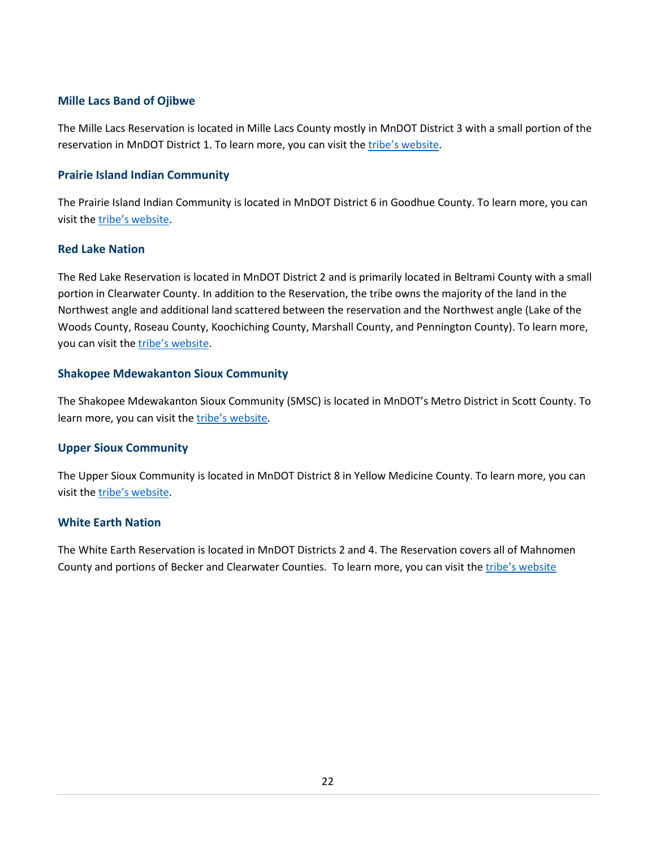### <span id="page-21-0"></span>**Mille Lacs Band of Ojibwe**

The Mille Lacs Reservation is located in Mille Lacs County mostly in MnDOT District 3 with a small portion of the reservation in MnDOT District 1. To learn more, you can visit the [tribe's website.](http://millelacsband.com/)

### <span id="page-21-1"></span>**Prairie Island Indian Community**

The Prairie Island Indian Community is located in MnDOT District 6 in Goodhue County. To learn more, you can visit the [tribe's website.](http://prairieisland.org/)

#### <span id="page-21-2"></span>**Red Lake Nation**

The Red Lake Reservation is located in MnDOT District 2 and is primarily located in Beltrami County with a small portion in Clearwater County. In addition to the Reservation, the tribe owns the majority of the land in the Northwest angle and additional land scattered between the reservation and the Northwest angle (Lake of the Woods County, Roseau County, Koochiching County, Marshall County, and Pennington County). To learn more, you can visit the [tribe's website.](http://www.redlakenation.org/)

### <span id="page-21-3"></span>**Shakopee Mdewakanton Sioux Community**

The Shakopee Mdewakanton Sioux Community (SMSC) is located in MnDOT's Metro District in Scott County. To learn more, you can visit th[e tribe's website.](http://www.shakopeedakota.org/)

### <span id="page-21-4"></span>**Upper Sioux Community**

The Upper Sioux Community is located in MnDOT District 8 in Yellow Medicine County. To learn more, you can visit the [tribe's website.](http://www.uppersiouxcommunity-nsn.gov/)

### <span id="page-21-5"></span>**White Earth Nation**

The White Earth Reservation is located in MnDOT Districts 2 and 4. The Reservation covers all of Mahnomen County and portions of Becker and Clearwater Counties. To learn more, you can visit th[e tribe's website](http://www.whiteearth.com/)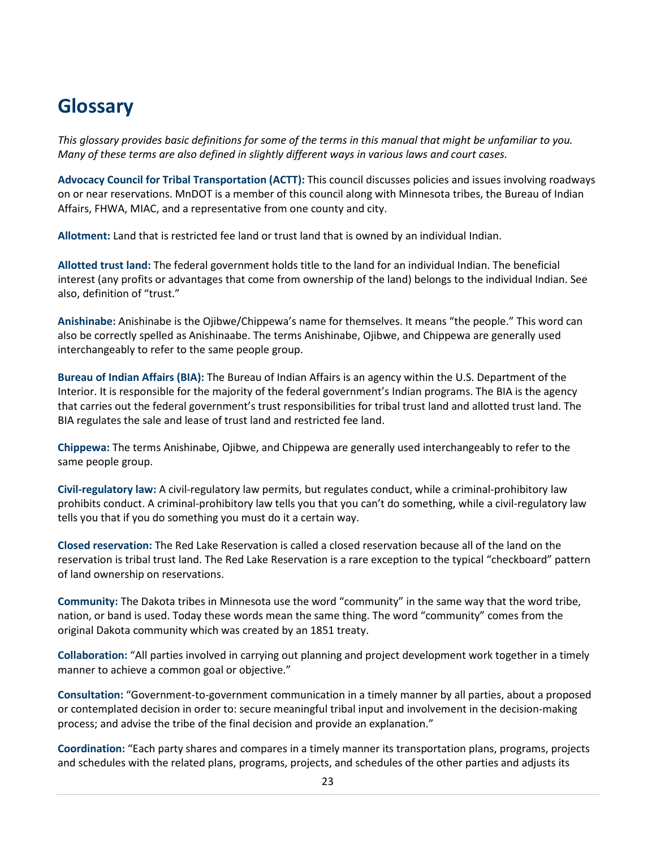# <span id="page-22-0"></span>**Glossary**

*This glossary provides basic definitions for some of the terms in this manual that might be unfamiliar to you. Many of these terms are also defined in slightly different ways in various laws and court cases.* 

**Advocacy Council for Tribal Transportation (ACTT):** This council discusses policies and issues involving roadways on or near reservations. MnDOT is a member of this council along with Minnesota tribes, the Bureau of Indian Affairs, FHWA, MIAC, and a representative from one county and city.

**Allotment:** Land that is restricted fee land or trust land that is owned by an individual Indian.

**Allotted trust land:** The federal government holds title to the land for an individual Indian. The beneficial interest (any profits or advantages that come from ownership of the land) belongs to the individual Indian. See also, definition of "trust."

**Anishinabe:** Anishinabe is the Ojibwe/Chippewa's name for themselves. It means "the people." This word can also be correctly spelled as Anishinaabe. The terms Anishinabe, Ojibwe, and Chippewa are generally used interchangeably to refer to the same people group.

**Bureau of Indian Affairs (BIA):** The Bureau of Indian Affairs is an agency within the U.S. Department of the Interior. It is responsible for the majority of the federal government's Indian programs. The BIA is the agency that carries out the federal government's trust responsibilities for tribal trust land and allotted trust land. The BIA regulates the sale and lease of trust land and restricted fee land.

**Chippewa:** The terms Anishinabe, Ojibwe, and Chippewa are generally used interchangeably to refer to the same people group.

**Civil-regulatory law:** A civil-regulatory law permits, but regulates conduct, while a criminal-prohibitory law prohibits conduct. A criminal-prohibitory law tells you that you can't do something, while a civil-regulatory law tells you that if you do something you must do it a certain way.

**Closed reservation:** The Red Lake Reservation is called a closed reservation because all of the land on the reservation is tribal trust land. The Red Lake Reservation is a rare exception to the typical "checkboard" pattern of land ownership on reservations.

**Community:** The Dakota tribes in Minnesota use the word "community" in the same way that the word tribe, nation, or band is used. Today these words mean the same thing. The word "community" comes from the original Dakota community which was created by an 1851 treaty.

**Collaboration:** "All parties involved in carrying out planning and project development work together in a timely manner to achieve a common goal or objective."

**Consultation:** "Government-to-government communication in a timely manner by all parties, about a proposed or contemplated decision in order to: secure meaningful tribal input and involvement in the decision-making process; and advise the tribe of the final decision and provide an explanation."

**Coordination:** "Each party shares and compares in a timely manner its transportation plans, programs, projects and schedules with the related plans, programs, projects, and schedules of the other parties and adjusts its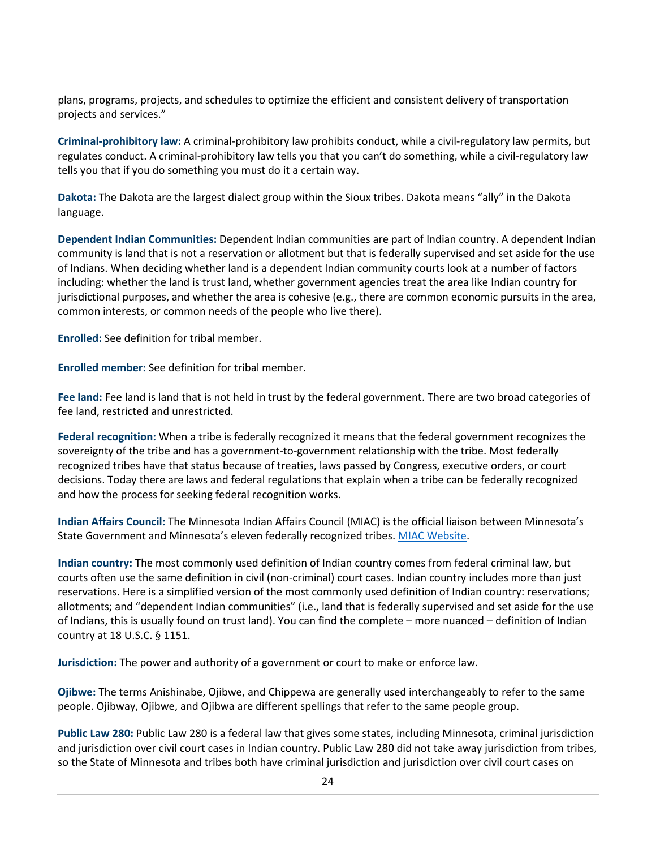plans, programs, projects, and schedules to optimize the efficient and consistent delivery of transportation projects and services."

**Criminal-prohibitory law:** A criminal-prohibitory law prohibits conduct, while a civil-regulatory law permits, but regulates conduct. A criminal-prohibitory law tells you that you can't do something, while a civil-regulatory law tells you that if you do something you must do it a certain way.

**Dakota:** The Dakota are the largest dialect group within the Sioux tribes. Dakota means "ally" in the Dakota language.

**Dependent Indian Communities:** Dependent Indian communities are part of Indian country. A dependent Indian community is land that is not a reservation or allotment but that is federally supervised and set aside for the use of Indians. When deciding whether land is a dependent Indian community courts look at a number of factors including: whether the land is trust land, whether government agencies treat the area like Indian country for jurisdictional purposes, and whether the area is cohesive (e.g., there are common economic pursuits in the area, common interests, or common needs of the people who live there).

**Enrolled:** See definition for tribal member.

**Enrolled member:** See definition for tribal member.

**Fee land:** Fee land is land that is not held in trust by the federal government. There are two broad categories of fee land, restricted and unrestricted.

<span id="page-23-1"></span>**Federal recognition:** When a tribe is federally recognized it means that the federal government recognizes the sovereignty of the tribe and has a government-to-government relationship with the tribe. Most federally recognized tribes have that status because of treaties, laws passed by Congress, executive orders, or court decisions. Today there are laws and federal regulations that explain when a tribe can be federally recognized and how the process for seeking federal recognition works.

**Indian Affairs Council:** The Minnesota Indian Affairs Council (MIAC) is the official liaison between Minnesota's State Government and Minnesota's eleven federally recognized tribes[. MIAC Website.](https://mn.gov/indianaffairs/index.html)

**Indian country:** The most commonly used definition of Indian country comes from federal criminal law, but courts often use the same definition in civil (non-criminal) court cases. Indian country includes more than just reservations. Here is a simplified version of the most commonly used definition of Indian country: reservations; allotments; and "dependent Indian communities" (i.e., land that is federally supervised and set aside for the use of Indians, this is usually found on trust land). You can find the complete – more nuanced – definition of Indian country at 18 U.S.C. § 1151.

**Jurisdiction:** The power and authority of a government or court to make or enforce law.

**Ojibwe:** The terms Anishinabe, Ojibwe, and Chippewa are generally used interchangeably to refer to the same people. Ojibway, Ojibwe, and Ojibwa are different spellings that refer to the same people group.

<span id="page-23-0"></span>**Public Law 280:** Public Law 280 is a federal law that gives some states, including Minnesota, criminal jurisdiction and jurisdiction over civil court cases in Indian country. Public Law 280 did not take away jurisdiction from tribes, so the State of Minnesota and tribes both have criminal jurisdiction and jurisdiction over civil court cases on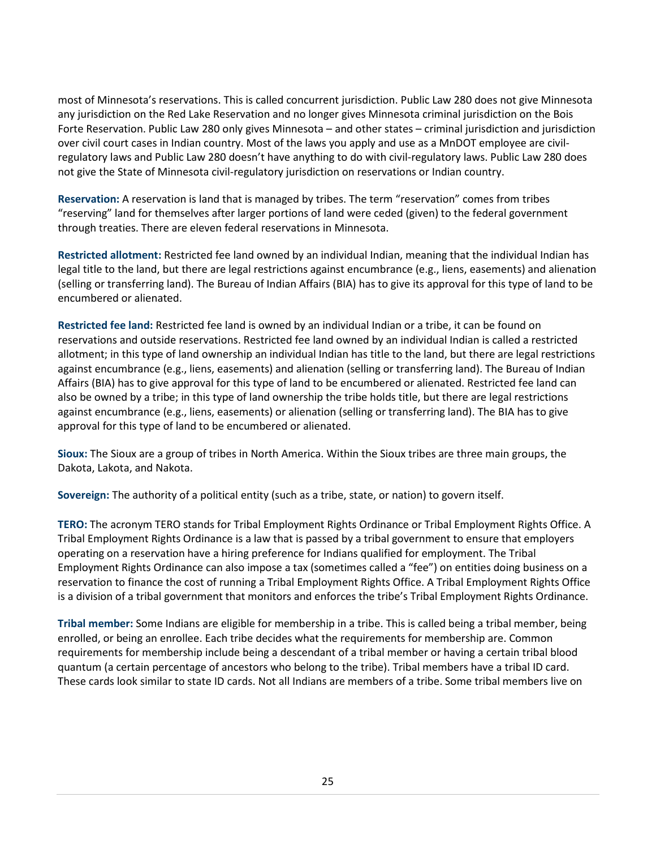most of Minnesota's reservations. This is called concurrent jurisdiction. Public Law 280 does not give Minnesota any jurisdiction on the Red Lake Reservation and no longer gives Minnesota criminal jurisdiction on the Bois Forte Reservation. Public Law 280 only gives Minnesota – and other states – criminal jurisdiction and jurisdiction over civil court cases in Indian country. Most of the laws you apply and use as a MnDOT employee are civilregulatory laws and Public Law 280 doesn't have anything to do with civil-regulatory laws. Public Law 280 does not give the State of Minnesota civil-regulatory jurisdiction on reservations or Indian country.

**Reservation:** A reservation is land that is managed by tribes. The term "reservation" comes from tribes "reserving" land for themselves after larger portions of land were ceded (given) to the federal government through treaties. There are [eleven federal reservations](http://mn.gov/indianaffairs/tribes.html) in Minnesota.

**Restricted allotment:** Restricted fee land owned by an individual Indian, meaning that the individual Indian has legal title to the land, but there are legal restrictions against encumbrance (e.g., liens, easements) and alienation (selling or transferring land). The Bureau of Indian Affairs (BIA) has to give its approval for this type of land to be encumbered or alienated.

**Restricted fee land:** Restricted fee land is owned by an individual Indian or a tribe, it can be found on reservations and outside reservations. Restricted fee land owned by an individual Indian is called a restricted allotment; in this type of land ownership an individual Indian has title to the land, but there are legal restrictions against encumbrance (e.g., liens, easements) and alienation (selling or transferring land). The Bureau of Indian Affairs (BIA) has to give approval for this type of land to be encumbered or alienated. Restricted fee land can also be owned by a tribe; in this type of land ownership the tribe holds title, but there are legal restrictions against encumbrance (e.g., liens, easements) or alienation (selling or transferring land). The BIA has to give approval for this type of land to be encumbered or alienated.

**Sioux:** The Sioux are a group of tribes in North America. Within the Sioux tribes are three main groups, the Dakota, Lakota, and Nakota.

**Sovereign:** The authority of a political entity (such as a tribe, state, or nation) to govern itself.

**TERO:** The acronym TERO stands for Tribal Employment Rights Ordinance or Tribal Employment Rights Office. A Tribal Employment Rights Ordinance is a law that is passed by a tribal government to ensure that employers operating on a reservation have a hiring preference for Indians qualified for employment. The Tribal Employment Rights Ordinance can also impose a tax (sometimes called a "fee") on entities doing business on a reservation to finance the cost of running a Tribal Employment Rights Office. A Tribal Employment Rights Office is a division of a tribal government that monitors and enforces the tribe's Tribal Employment Rights Ordinance.

**Tribal member:** Some Indians are eligible for membership in a tribe. This is called being a tribal member, being enrolled, or being an enrollee. Each tribe decides what the requirements for membership are. Common requirements for membership include being a descendant of a tribal member or having a certain tribal blood quantum (a certain percentage of ancestors who belong to the tribe). Tribal members have a tribal ID card. These cards look similar to state ID cards. Not all Indians are members of a tribe. Some tribal members live on